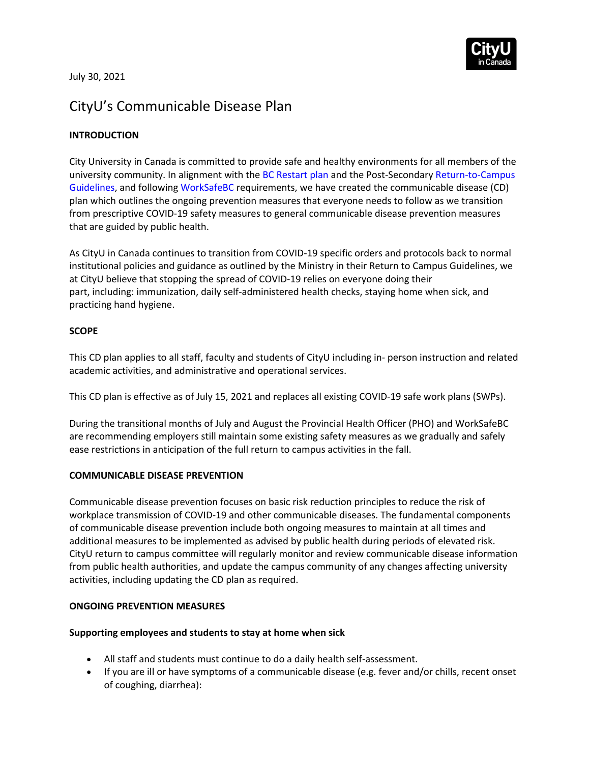

July 30, 2021

# CityU's Communicable Disease Plan

# **INTRODUCTION**

City University in Canada is committed to provide safe and healthy environments for all members of the university community. In alignment with the BC Restart plan and the Post-Secondary Return-to-Campus Guidelines, and following WorkSafeBC requirements, we have created the communicable disease (CD) plan which outlines the ongoing prevention measures that everyone needs to follow as we transition from prescriptive COVID-19 safety measures to general communicable disease prevention measures that are guided by public health.

As CityU in Canada continues to transition from COVID-19 specific orders and protocols back to normal institutional policies and guidance as outlined by the Ministry in their Return to Campus Guidelines, we at CityU believe that stopping the spread of COVID-19 relies on everyone doing their part, including: immunization, daily self-administered health checks, staying home when sick, and practicing hand hygiene.

# **SCOPE**

This CD plan applies to all staff, faculty and students of CityU including in- person instruction and related academic activities, and administrative and operational services.

This CD plan is effective as of July 15, 2021 and replaces all existing COVID-19 safe work plans (SWPs).

During the transitional months of July and August the Provincial Health Officer (PHO) and WorkSafeBC are recommending employers still maintain some existing safety measures as we gradually and safely ease restrictions in anticipation of the full return to campus activities in the fall.

#### **COMMUNICABLE DISEASE PREVENTION**

Communicable disease prevention focuses on basic risk reduction principles to reduce the risk of workplace transmission of COVID-19 and other communicable diseases. The fundamental components of communicable disease prevention include both ongoing measures to maintain at all times and additional measures to be implemented as advised by public health during periods of elevated risk. CityU return to campus committee will regularly monitor and review communicable disease information from public health authorities, and update the campus community of any changes affecting university activities, including updating the CD plan as required.

#### **ONGOING PREVENTION MEASURES**

#### **Supporting employees and students to stay at home when sick**

- All staff and students must continue to do a daily health self-assessment.
- If you are ill or have symptoms of a communicable disease (e.g. fever and/or chills, recent onset of coughing, diarrhea):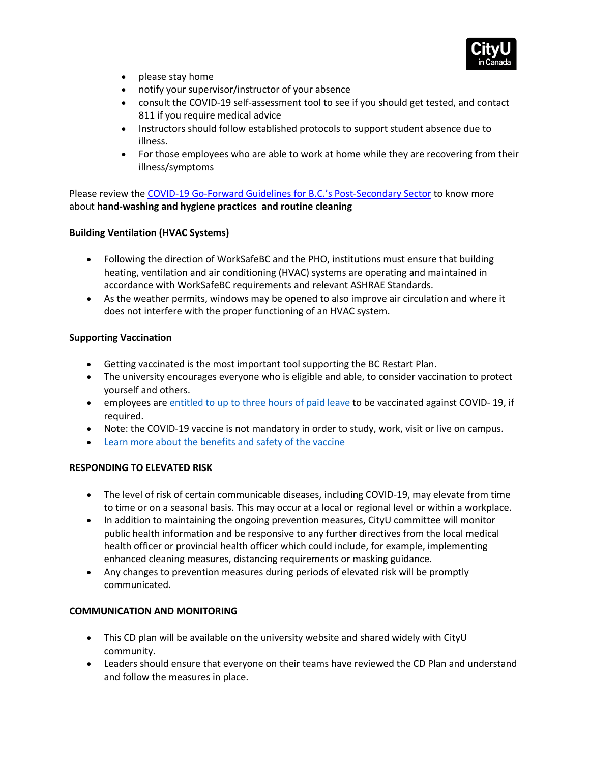

- please stay home
- notify your supervisor/instructor of your absence
- consult the COVID-19 self-assessment tool to see if you should get tested, and contact 811 if you require medical advice
- Instructors should follow established protocols to support student absence due to illness.
- For those employees who are able to work at home while they are recovering from their illness/symptoms

Please review the COVID-19 Go-Forward Guidelines for B.C.'s Post-Secondary Sector to know more about **hand-washing and hygiene practices and routine cleaning**

# **Building Ventilation (HVAC Systems)**

- Following the direction of WorkSafeBC and the PHO, institutions must ensure that building heating, ventilation and air conditioning (HVAC) systems are operating and maintained in accordance with WorkSafeBC requirements and relevant ASHRAE Standards.
- As the weather permits, windows may be opened to also improve air circulation and where it does not interfere with the proper functioning of an HVAC system.

# **Supporting Vaccination**

- Getting vaccinated is the most important tool supporting the BC Restart Plan.
- The university encourages everyone who is eligible and able, to consider vaccination to protect yourself and others.
- employees are entitled to up to three hours of paid leave to be vaccinated against COVID- 19, if required.
- Note: the COVID-19 vaccine is not mandatory in order to study, work, visit or live on campus.
- Learn more about the benefits and safety of the vaccine

#### **RESPONDING TO ELEVATED RISK**

- The level of risk of certain communicable diseases, including COVID-19, may elevate from time to time or on a seasonal basis. This may occur at a local or regional level or within a workplace.
- In addition to maintaining the ongoing prevention measures, CityU committee will monitor public health information and be responsive to any further directives from the local medical health officer or provincial health officer which could include, for example, implementing enhanced cleaning measures, distancing requirements or masking guidance.
- Any changes to prevention measures during periods of elevated risk will be promptly communicated.

#### **COMMUNICATION AND MONITORING**

- This CD plan will be available on the university website and shared widely with CityU community.
- Leaders should ensure that everyone on their teams have reviewed the CD Plan and understand and follow the measures in place.